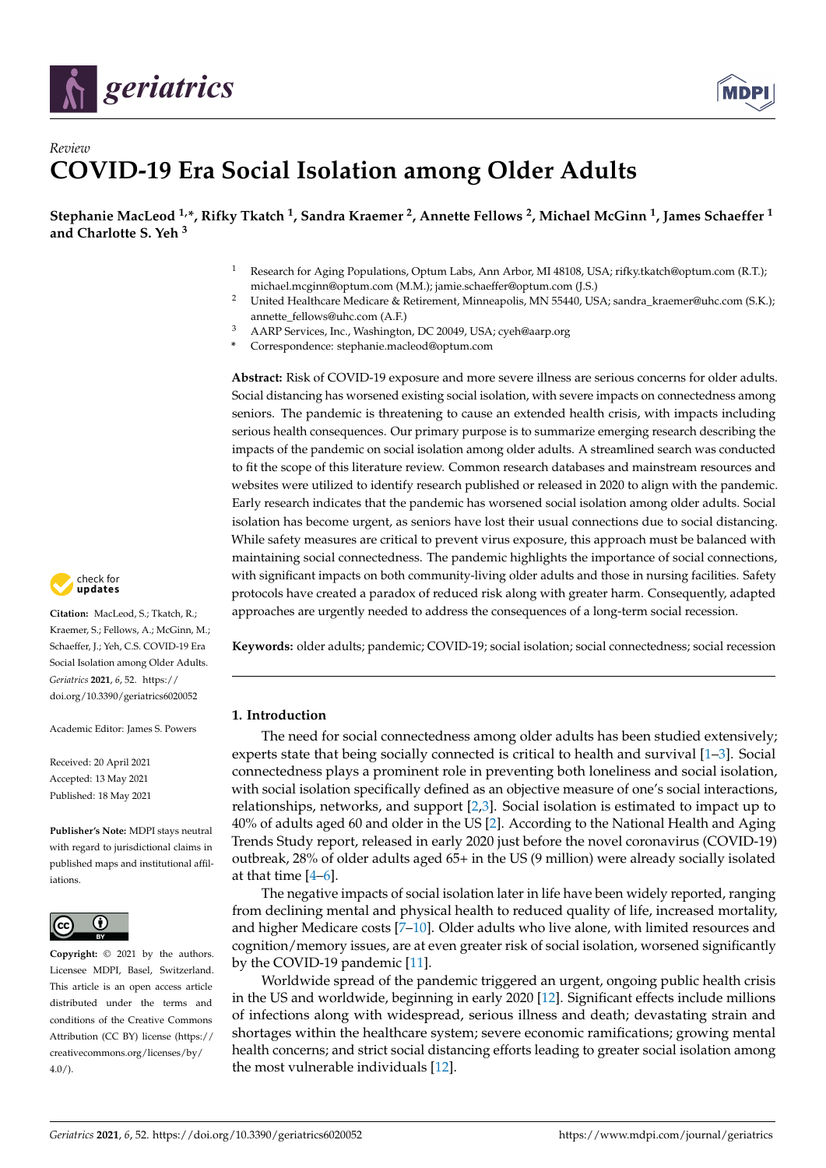



# *Review* **COVID-19 Era Social Isolation among Older Adults**

**Stephanie MacLeod 1,\*, Rifky Tkatch <sup>1</sup> , Sandra Kraemer <sup>2</sup> , Annette Fellows <sup>2</sup> , Michael McGinn <sup>1</sup> , James Schaeffer <sup>1</sup> and Charlotte S. Yeh <sup>3</sup>**

- Research for Aging Populations, Optum Labs, Ann Arbor, MI 48108, USA; rifky.tkatch@optum.com (R.T.); michael.mcginn@optum.com (M.M.); jamie.schaeffer@optum.com (J.S.)
- <sup>2</sup> United Healthcare Medicare & Retirement, Minneapolis, MN 55440, USA; sandra\_kraemer@uhc.com (S.K.); annette\_fellows@uhc.com (A.F.)
- <sup>3</sup> AARP Services, Inc., Washington, DC 20049, USA; cyeh@aarp.org
- **\*** Correspondence: stephanie.macleod@optum.com

**Abstract:** Risk of COVID-19 exposure and more severe illness are serious concerns for older adults. Social distancing has worsened existing social isolation, with severe impacts on connectedness among seniors. The pandemic is threatening to cause an extended health crisis, with impacts including serious health consequences. Our primary purpose is to summarize emerging research describing the impacts of the pandemic on social isolation among older adults. A streamlined search was conducted to fit the scope of this literature review. Common research databases and mainstream resources and websites were utilized to identify research published or released in 2020 to align with the pandemic. Early research indicates that the pandemic has worsened social isolation among older adults. Social isolation has become urgent, as seniors have lost their usual connections due to social distancing. While safety measures are critical to prevent virus exposure, this approach must be balanced with maintaining social connectedness. The pandemic highlights the importance of social connections, with significant impacts on both community-living older adults and those in nursing facilities. Safety protocols have created a paradox of reduced risk along with greater harm. Consequently, adapted approaches are urgently needed to address the consequences of a long-term social recession.

**Keywords:** older adults; pandemic; COVID-19; social isolation; social connectedness; social recession

# **1. Introduction**

The need for social connectedness among older adults has been studied extensively; experts state that being socially connected is critical to health and survival [\[1](#page-12-0)[–3\]](#page-12-1). Social connectedness plays a prominent role in preventing both loneliness and social isolation, with social isolation specifically defined as an objective measure of one's social interactions, relationships, networks, and support [\[2,](#page-12-2)[3\]](#page-12-1). Social isolation is estimated to impact up to 40% of adults aged 60 and older in the US [\[2\]](#page-12-2). According to the National Health and Aging Trends Study report, released in early 2020 just before the novel coronavirus (COVID-19) outbreak, 28% of older adults aged 65+ in the US (9 million) were already socially isolated at that time [\[4](#page-12-3)[–6\]](#page-12-4).

The negative impacts of social isolation later in life have been widely reported, ranging from declining mental and physical health to reduced quality of life, increased mortality, and higher Medicare costs [\[7–](#page-12-5)[10\]](#page-12-6). Older adults who live alone, with limited resources and cognition/memory issues, are at even greater risk of social isolation, worsened significantly by the COVID-19 pandemic [\[11\]](#page-12-7).

Worldwide spread of the pandemic triggered an urgent, ongoing public health crisis in the US and worldwide, beginning in early 2020 [\[12\]](#page-13-0). Significant effects include millions of infections along with widespread, serious illness and death; devastating strain and shortages within the healthcare system; severe economic ramifications; growing mental health concerns; and strict social distancing efforts leading to greater social isolation among the most vulnerable individuals [\[12\]](#page-13-0).



**Citation:** MacLeod, S.; Tkatch, R.; Kraemer, S.; Fellows, A.; McGinn, M.; Schaeffer, J.; Yeh, C.S. COVID-19 Era Social Isolation among Older Adults. *Geriatrics* **2021**, *6*, 52. [https://](https://doi.org/10.3390/geriatrics6020052) [doi.org/10.3390/geriatrics6020052](https://doi.org/10.3390/geriatrics6020052)

Academic Editor: James S. Powers

Received: 20 April 2021 Accepted: 13 May 2021 Published: 18 May 2021

**Publisher's Note:** MDPI stays neutral with regard to jurisdictional claims in published maps and institutional affiliations.



**Copyright:** © 2021 by the authors. Licensee MDPI, Basel, Switzerland. This article is an open access article distributed under the terms and conditions of the Creative Commons Attribution (CC BY) license (https:/[/](https://creativecommons.org/licenses/by/4.0/) [creativecommons.org/licenses/by/](https://creativecommons.org/licenses/by/4.0/)  $4.0/$ ).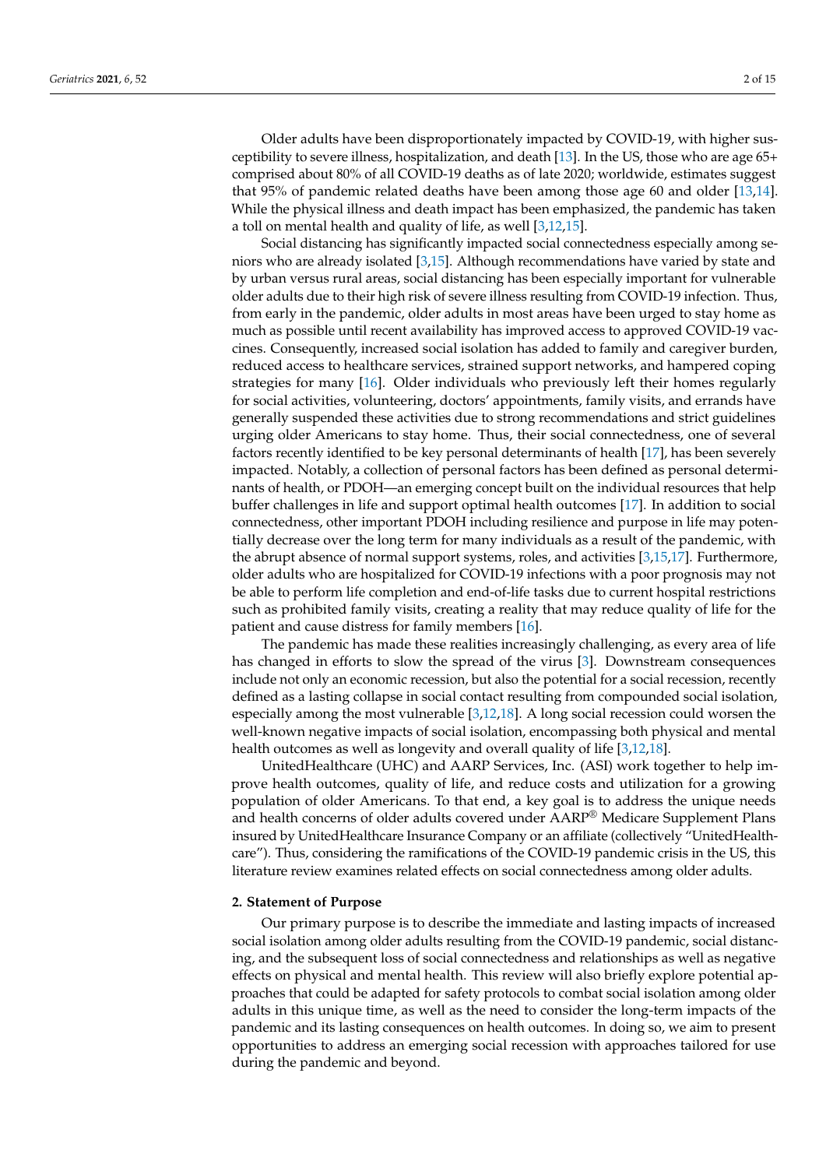Older adults have been disproportionately impacted by COVID-19, with higher susceptibility to severe illness, hospitalization, and death [\[13\]](#page-13-1). In the US, those who are age 65+ comprised about 80% of all COVID-19 deaths as of late 2020; worldwide, estimates suggest that 95% of pandemic related deaths have been among those age 60 and older [\[13,](#page-13-1)[14\]](#page-13-2). While the physical illness and death impact has been emphasized, the pandemic has taken a toll on mental health and quality of life, as well [\[3](#page-12-1)[,12](#page-13-0)[,15\]](#page-13-3).

Social distancing has significantly impacted social connectedness especially among seniors who are already isolated [\[3,](#page-12-1)[15\]](#page-13-3). Although recommendations have varied by state and by urban versus rural areas, social distancing has been especially important for vulnerable older adults due to their high risk of severe illness resulting from COVID-19 infection. Thus, from early in the pandemic, older adults in most areas have been urged to stay home as much as possible until recent availability has improved access to approved COVID-19 vaccines. Consequently, increased social isolation has added to family and caregiver burden, reduced access to healthcare services, strained support networks, and hampered coping strategies for many [\[16\]](#page-13-4). Older individuals who previously left their homes regularly for social activities, volunteering, doctors' appointments, family visits, and errands have generally suspended these activities due to strong recommendations and strict guidelines urging older Americans to stay home. Thus, their social connectedness, one of several factors recently identified to be key personal determinants of health [\[17\]](#page-13-5), has been severely impacted. Notably, a collection of personal factors has been defined as personal determinants of health, or PDOH—an emerging concept built on the individual resources that help buffer challenges in life and support optimal health outcomes [\[17\]](#page-13-5). In addition to social connectedness, other important PDOH including resilience and purpose in life may potentially decrease over the long term for many individuals as a result of the pandemic, with the abrupt absence of normal support systems, roles, and activities [\[3](#page-12-1)[,15,](#page-13-3)[17\]](#page-13-5). Furthermore, older adults who are hospitalized for COVID-19 infections with a poor prognosis may not be able to perform life completion and end-of-life tasks due to current hospital restrictions such as prohibited family visits, creating a reality that may reduce quality of life for the patient and cause distress for family members [\[16\]](#page-13-4).

The pandemic has made these realities increasingly challenging, as every area of life has changed in efforts to slow the spread of the virus [\[3\]](#page-12-1). Downstream consequences include not only an economic recession, but also the potential for a social recession, recently defined as a lasting collapse in social contact resulting from compounded social isolation, especially among the most vulnerable [\[3,](#page-12-1)[12,](#page-13-0)[18\]](#page-13-6). A long social recession could worsen the well-known negative impacts of social isolation, encompassing both physical and mental health outcomes as well as longevity and overall quality of life [\[3,](#page-12-1)[12,](#page-13-0)[18\]](#page-13-6).

UnitedHealthcare (UHC) and AARP Services, Inc. (ASI) work together to help improve health outcomes, quality of life, and reduce costs and utilization for a growing population of older Americans. To that end, a key goal is to address the unique needs and health concerns of older adults covered under AARP® Medicare Supplement Plans insured by UnitedHealthcare Insurance Company or an affiliate (collectively "UnitedHealthcare"). Thus, considering the ramifications of the COVID-19 pandemic crisis in the US, this literature review examines related effects on social connectedness among older adults.

#### **2. Statement of Purpose**

Our primary purpose is to describe the immediate and lasting impacts of increased social isolation among older adults resulting from the COVID-19 pandemic, social distancing, and the subsequent loss of social connectedness and relationships as well as negative effects on physical and mental health. This review will also briefly explore potential approaches that could be adapted for safety protocols to combat social isolation among older adults in this unique time, as well as the need to consider the long-term impacts of the pandemic and its lasting consequences on health outcomes. In doing so, we aim to present opportunities to address an emerging social recession with approaches tailored for use during the pandemic and beyond.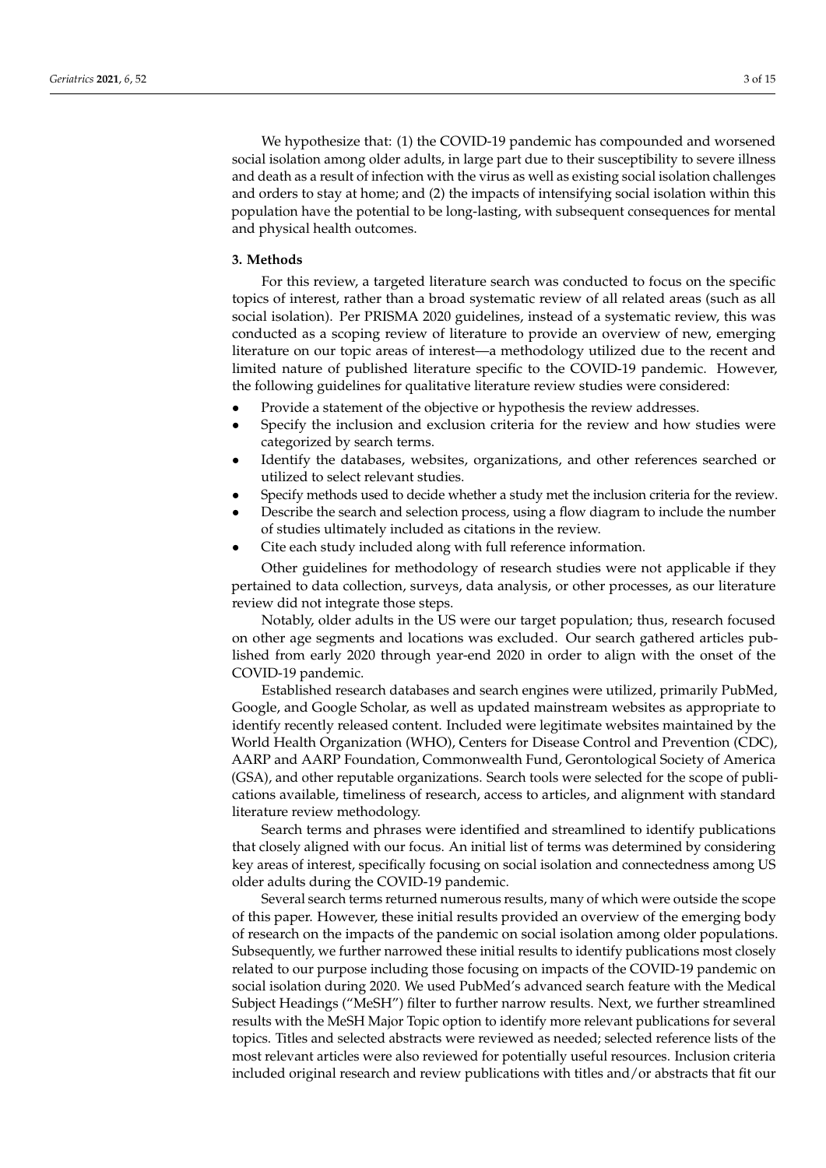We hypothesize that: (1) the COVID-19 pandemic has compounded and worsened social isolation among older adults, in large part due to their susceptibility to severe illness and death as a result of infection with the virus as well as existing social isolation challenges and orders to stay at home; and (2) the impacts of intensifying social isolation within this population have the potential to be long-lasting, with subsequent consequences for mental and physical health outcomes.

#### **3. Methods**

For this review, a targeted literature search was conducted to focus on the specific topics of interest, rather than a broad systematic review of all related areas (such as all social isolation). Per PRISMA 2020 guidelines, instead of a systematic review, this was conducted as a scoping review of literature to provide an overview of new, emerging literature on our topic areas of interest—a methodology utilized due to the recent and limited nature of published literature specific to the COVID-19 pandemic. However, the following guidelines for qualitative literature review studies were considered:

- Provide a statement of the objective or hypothesis the review addresses.
- Specify the inclusion and exclusion criteria for the review and how studies were categorized by search terms.
- Identify the databases, websites, organizations, and other references searched or utilized to select relevant studies.
- Specify methods used to decide whether a study met the inclusion criteria for the review.
- Describe the search and selection process, using a flow diagram to include the number of studies ultimately included as citations in the review.
- Cite each study included along with full reference information.

Other guidelines for methodology of research studies were not applicable if they pertained to data collection, surveys, data analysis, or other processes, as our literature review did not integrate those steps.

Notably, older adults in the US were our target population; thus, research focused on other age segments and locations was excluded. Our search gathered articles published from early 2020 through year-end 2020 in order to align with the onset of the COVID-19 pandemic.

Established research databases and search engines were utilized, primarily PubMed, Google, and Google Scholar, as well as updated mainstream websites as appropriate to identify recently released content. Included were legitimate websites maintained by the World Health Organization (WHO), Centers for Disease Control and Prevention (CDC), AARP and AARP Foundation, Commonwealth Fund, Gerontological Society of America (GSA), and other reputable organizations. Search tools were selected for the scope of publications available, timeliness of research, access to articles, and alignment with standard literature review methodology.

Search terms and phrases were identified and streamlined to identify publications that closely aligned with our focus. An initial list of terms was determined by considering key areas of interest, specifically focusing on social isolation and connectedness among US older adults during the COVID-19 pandemic.

Several search terms returned numerous results, many of which were outside the scope of this paper. However, these initial results provided an overview of the emerging body of research on the impacts of the pandemic on social isolation among older populations. Subsequently, we further narrowed these initial results to identify publications most closely related to our purpose including those focusing on impacts of the COVID-19 pandemic on social isolation during 2020. We used PubMed's advanced search feature with the Medical Subject Headings ("MeSH") filter to further narrow results. Next, we further streamlined results with the MeSH Major Topic option to identify more relevant publications for several topics. Titles and selected abstracts were reviewed as needed; selected reference lists of the most relevant articles were also reviewed for potentially useful resources. Inclusion criteria included original research and review publications with titles and/or abstracts that fit our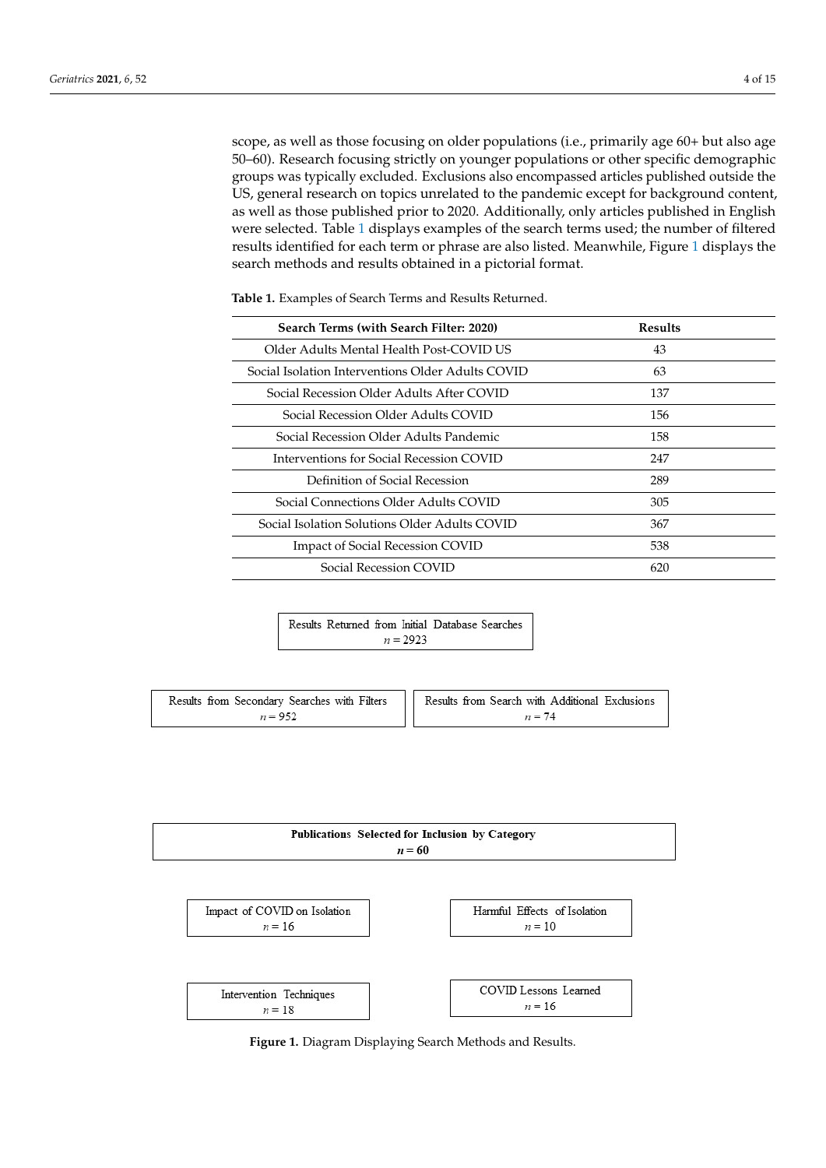scope, as well as those focusing on older populations (i.e., primarily age 60+ but also age 50–60). Research focusing strictly on younger populations or other specific demographic groups was typically excluded. Exclusions also encompassed articles published outside the US, general research on topics unrelated to the pandemic except for background content, as well as those published prior to 2020. Additionally, only articles published in English were selected. Table [1](#page-3-0) displays examples of the search terms used; the number of filtered results identified for each term or phrase are also listed. Meanwhile, Figure [1](#page-3-1) displays the search methods and results obtained in a pictorial format.

<span id="page-3-0"></span>**Table 1.** Examples of Search Terms and Results Returned.

| Search Terms (with Search Filter: 2020)           | <b>Results</b> |
|---------------------------------------------------|----------------|
| Older Adults Mental Health Post-COVID US          | 43             |
| Social Isolation Interventions Older Adults COVID | 63             |
| Social Recession Older Adults After COVID         | 137            |
| Social Recession Older Adults COVID               | 156            |
| Social Recession Older Adults Pandemic            | 158            |
| Interventions for Social Recession COVID          | 247            |
| Definition of Social Recession                    | 289            |
| Social Connections Older Adults COVID             | 305            |
| Social Isolation Solutions Older Adults COVID     | 367            |
| <b>Impact of Social Recession COVID</b>           | 538            |
| Social Recession COVID                            | 620            |

|  |            | Results Returned from Initial Database Searches |  |
|--|------------|-------------------------------------------------|--|
|  | $n = 2923$ |                                                 |  |

<span id="page-3-1"></span>

| Results from Secondary Searches with Filters | Results from Search with Additional Exclusions |  |
|----------------------------------------------|------------------------------------------------|--|
| $n = 952$                                    | $n = 74$                                       |  |

| Publications Selected for Inclusion by Category<br>$n = 60$ |                              |  |
|-------------------------------------------------------------|------------------------------|--|
| Impact of COVID on Isolation                                | Harmful Effects of Isolation |  |
| $n = 16$                                                    | $n = 10$                     |  |
| Intervention Techniques                                     | COVID Lessons Learned        |  |
| $n = 18$                                                    | $n = 16$                     |  |

**Figure 1.** Diagram Displaying Search Methods and Results. **Figure 1.** Diagram Displaying Search Methods and Results.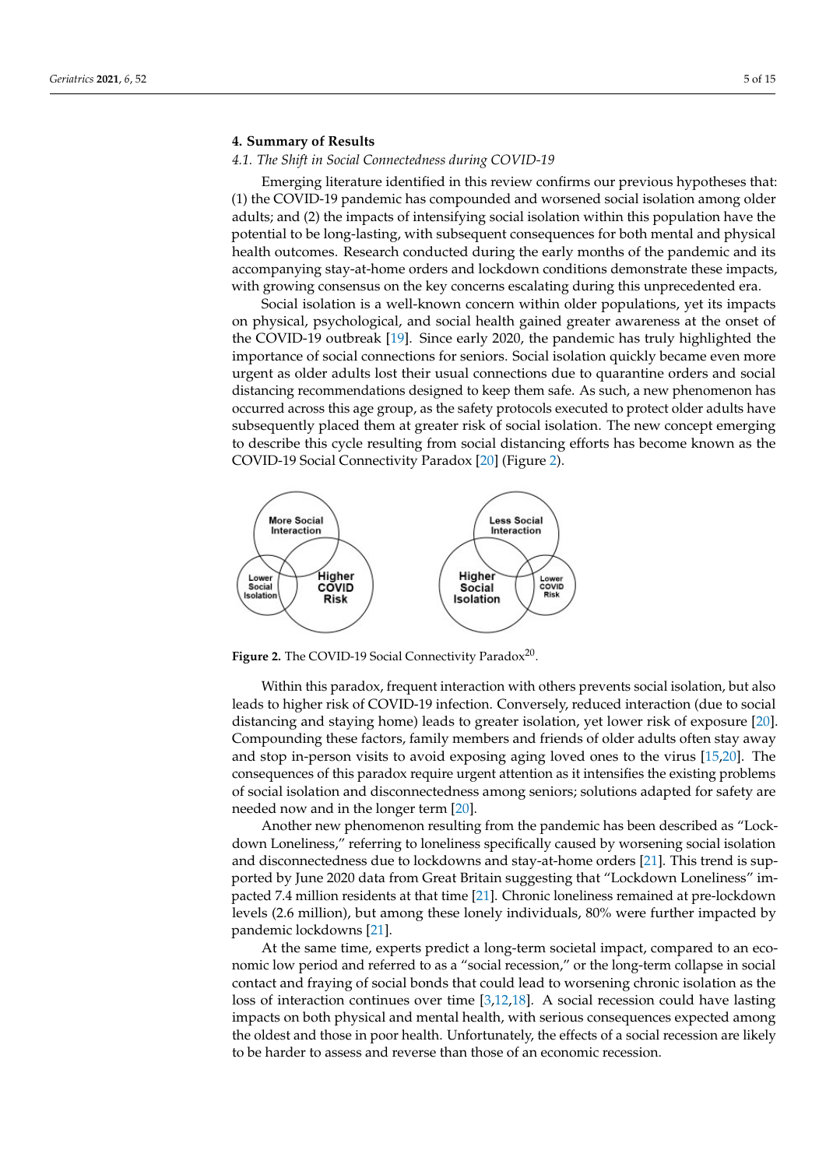# **4. Summary of Results**

# *4.1. The Shift in Social Connectedness during COVID-19*

Emerging literature identified in this review confirms our previous hypotheses that: (1) the COVID-19 pandemic has compounded and worsened social isolation among older adults; and (2) the impacts of intensifying social isolation within this population have the potential to be long-lasting, with subsequent consequences for both mental and physical health outcomes. Research conducted during the early months of the pandemic and its accompanying stay-at-home orders and lockdown conditions demonstrate these impacts, with growing consensus on the key concerns escalating during this unprecedented era.

Social isolation is a well-known concern within older populations, yet its impacts on physical, psychological, and social health gained greater awareness at the onset of the COVID-19 outbreak [\[19\]](#page-13-7). Since early 2020, the pandemic has truly highlighted the importance of social connections for seniors. Social isolation quickly became even more urgent as older adults lost their usual connections due to quarantine orders and social distancing recommendations designed to keep them safe. As such, a new phenomenon has occurred across this age group, as the safety protocols executed to protect older adults have subsequently placed them at greater risk of social isolation. The new concept emerging to describe this cycle resulting from social distancing efforts has become known as the COVID-19 Social Connectivity Paradox [\[20\]](#page-13-8) (Figure [2\)](#page-4-0).

<span id="page-4-0"></span>

Figure 2. The COVID-19 Social Connectivity Paradox<sup>20</sup>.

Compounding these factors, family members and friends of older adults often stay away consequences of this paradox require urgent attention as it intensifies the existing problems of social isolation and disconnectedness among seniors; solutions adapted for safety are needed now and in the longer term [\[20\]](#page-13-8). Within this paradox, frequent interaction with others prevents social isolation, but also leads to higher risk of COVID-19 infection. Conversely, reduced interaction (due to social distancing and staying home) leads to greater isolation, yet lower risk of exposure [\[20\]](#page-13-8). and stop in-person visits to avoid exposing aging loved ones to the virus [\[15](#page-13-3)[,20\]](#page-13-8). The

Another new phenomenon resulting from the pandemic has been described as "Lockdown Loneliness," referring to loneliness specifically caused by worsening social isolation and disconnectedness due to lockdowns and stay-at-home orders [21]. This trend is supported by June 2020 data from Great Britain suggesting that "Lockdown Loneliness" im-pacted 7.4 million residents at that time [\[21\]](#page-13-9). Chronic loneliness remained at pre-lockdown levels (2.6 million), but among these lonely individuals, 80% were further impacted by pandemic lockdowns [21].

At the same time, experts predict a long-term societal impact, compared to an economic low period and referred to as a "social recession," or the long-term collapse in social contact and fraying of social bonds that could lead to worsening chronic isolation as the loss of interaction continues over time  $[3,12,18]$  $[3,12,18]$  $[3,12,18]$ . A social recession could have lasting impacts on both physical and mental health, with serious consequences expected among the oldest and those in poor health. Unfortunately, the effects of a social recession are likely to be harder to assess and reverse than those of an economic recession.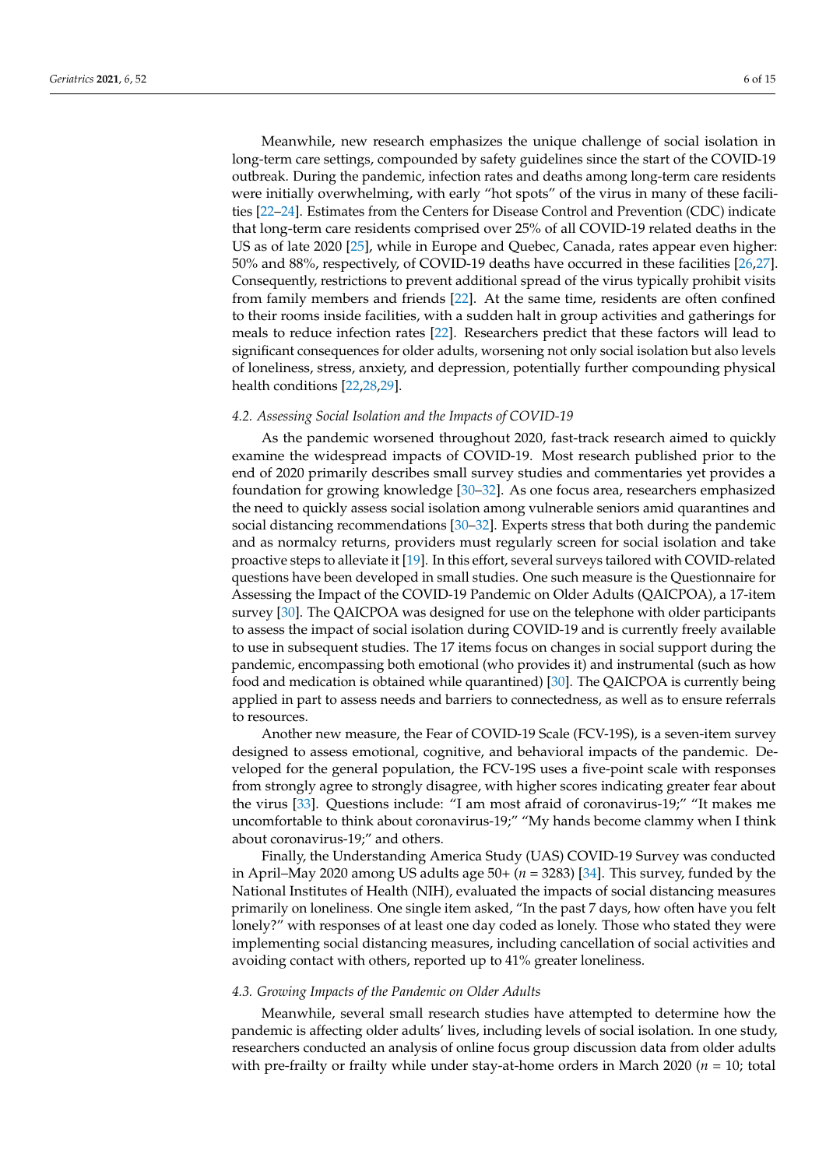Meanwhile, new research emphasizes the unique challenge of social isolation in long-term care settings, compounded by safety guidelines since the start of the COVID-19 outbreak. During the pandemic, infection rates and deaths among long-term care residents were initially overwhelming, with early "hot spots" of the virus in many of these facilities [\[22–](#page-13-10)[24\]](#page-13-11). Estimates from the Centers for Disease Control and Prevention (CDC) indicate that long-term care residents comprised over 25% of all COVID-19 related deaths in the US as of late 2020 [\[25\]](#page-13-12), while in Europe and Quebec, Canada, rates appear even higher: 50% and 88%, respectively, of COVID-19 deaths have occurred in these facilities [\[26,](#page-13-13)[27\]](#page-13-14). Consequently, restrictions to prevent additional spread of the virus typically prohibit visits from family members and friends [\[22\]](#page-13-10). At the same time, residents are often confined to their rooms inside facilities, with a sudden halt in group activities and gatherings for meals to reduce infection rates [\[22\]](#page-13-10). Researchers predict that these factors will lead to significant consequences for older adults, worsening not only social isolation but also levels of loneliness, stress, anxiety, and depression, potentially further compounding physical health conditions [\[22](#page-13-10)[,28,](#page-13-15)[29\]](#page-13-16).

# *4.2. Assessing Social Isolation and the Impacts of COVID-19*

As the pandemic worsened throughout 2020, fast-track research aimed to quickly examine the widespread impacts of COVID-19. Most research published prior to the end of 2020 primarily describes small survey studies and commentaries yet provides a foundation for growing knowledge [\[30](#page-13-17)[–32\]](#page-13-18). As one focus area, researchers emphasized the need to quickly assess social isolation among vulnerable seniors amid quarantines and social distancing recommendations [\[30–](#page-13-17)[32\]](#page-13-18). Experts stress that both during the pandemic and as normalcy returns, providers must regularly screen for social isolation and take proactive steps to alleviate it [\[19\]](#page-13-7). In this effort, several surveys tailored with COVID-related questions have been developed in small studies. One such measure is the Questionnaire for Assessing the Impact of the COVID-19 Pandemic on Older Adults (QAICPOA), a 17-item survey [\[30\]](#page-13-17). The QAICPOA was designed for use on the telephone with older participants to assess the impact of social isolation during COVID-19 and is currently freely available to use in subsequent studies. The 17 items focus on changes in social support during the pandemic, encompassing both emotional (who provides it) and instrumental (such as how food and medication is obtained while quarantined) [\[30\]](#page-13-17). The QAICPOA is currently being applied in part to assess needs and barriers to connectedness, as well as to ensure referrals to resources.

Another new measure, the Fear of COVID-19 Scale (FCV-19S), is a seven-item survey designed to assess emotional, cognitive, and behavioral impacts of the pandemic. Developed for the general population, the FCV-19S uses a five-point scale with responses from strongly agree to strongly disagree, with higher scores indicating greater fear about the virus [\[33\]](#page-13-19). Questions include: "I am most afraid of coronavirus-19;" "It makes me uncomfortable to think about coronavirus-19;" "My hands become clammy when I think about coronavirus-19;" and others.

Finally, the Understanding America Study (UAS) COVID-19 Survey was conducted in April–May 2020 among US adults age 50+ (*n* = 3283) [\[34\]](#page-13-20). This survey, funded by the National Institutes of Health (NIH), evaluated the impacts of social distancing measures primarily on loneliness. One single item asked, "In the past 7 days, how often have you felt lonely?" with responses of at least one day coded as lonely. Those who stated they were implementing social distancing measures, including cancellation of social activities and avoiding contact with others, reported up to 41% greater loneliness.

# *4.3. Growing Impacts of the Pandemic on Older Adults*

Meanwhile, several small research studies have attempted to determine how the pandemic is affecting older adults' lives, including levels of social isolation. In one study, researchers conducted an analysis of online focus group discussion data from older adults with pre-frailty or frailty while under stay-at-home orders in March 2020 (*n* = 10; total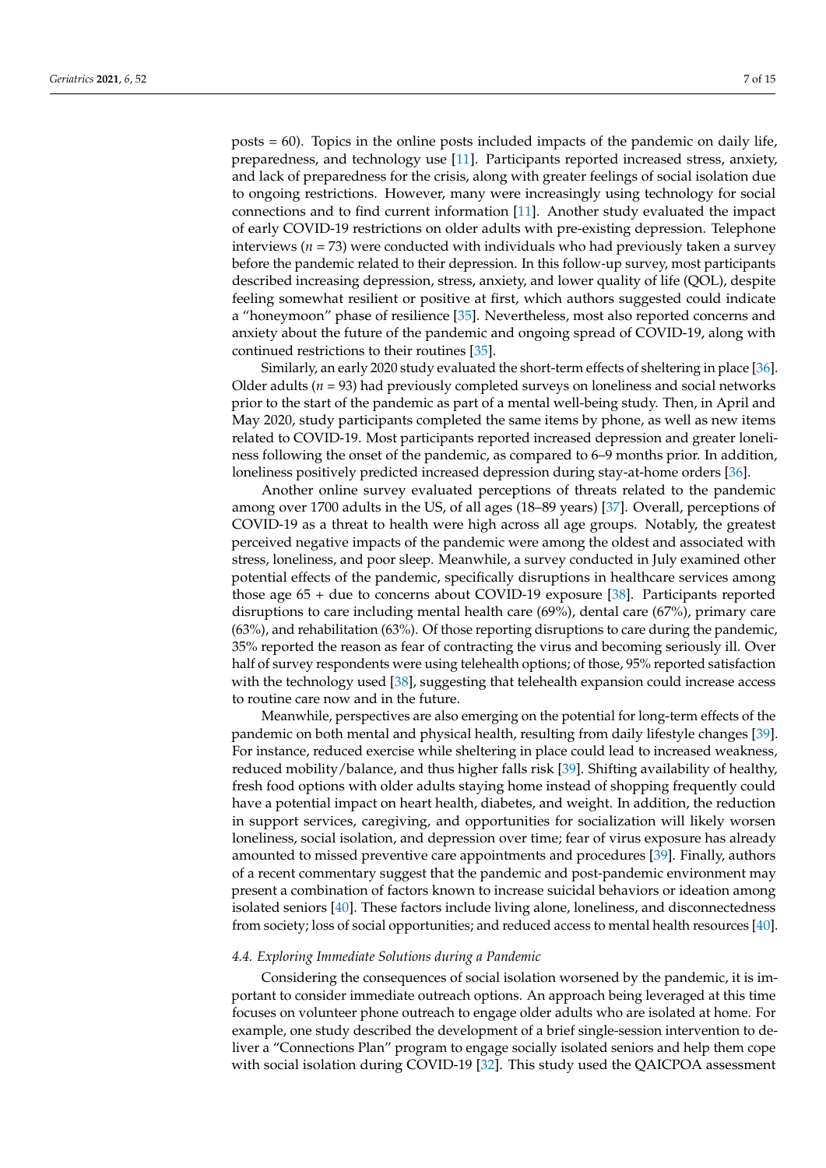posts = 60). Topics in the online posts included impacts of the pandemic on daily life, preparedness, and technology use [\[11\]](#page-12-7). Participants reported increased stress, anxiety, and lack of preparedness for the crisis, along with greater feelings of social isolation due to ongoing restrictions. However, many were increasingly using technology for social connections and to find current information [\[11\]](#page-12-7). Another study evaluated the impact of early COVID-19 restrictions on older adults with pre-existing depression. Telephone interviews ( $n = 73$ ) were conducted with individuals who had previously taken a survey before the pandemic related to their depression. In this follow-up survey, most participants described increasing depression, stress, anxiety, and lower quality of life (QOL), despite feeling somewhat resilient or positive at first, which authors suggested could indicate a "honeymoon" phase of resilience [\[35\]](#page-13-21). Nevertheless, most also reported concerns and anxiety about the future of the pandemic and ongoing spread of COVID-19, along with continued restrictions to their routines [\[35\]](#page-13-21).

Similarly, an early 2020 study evaluated the short-term effects of sheltering in place [\[36\]](#page-14-0). Older adults ( $n = 93$ ) had previously completed surveys on loneliness and social networks prior to the start of the pandemic as part of a mental well-being study. Then, in April and May 2020, study participants completed the same items by phone, as well as new items related to COVID-19. Most participants reported increased depression and greater loneliness following the onset of the pandemic, as compared to 6–9 months prior. In addition, loneliness positively predicted increased depression during stay-at-home orders [\[36\]](#page-14-0).

Another online survey evaluated perceptions of threats related to the pandemic among over 1700 adults in the US, of all ages (18–89 years) [\[37\]](#page-14-1). Overall, perceptions of COVID-19 as a threat to health were high across all age groups. Notably, the greatest perceived negative impacts of the pandemic were among the oldest and associated with stress, loneliness, and poor sleep. Meanwhile, a survey conducted in July examined other potential effects of the pandemic, specifically disruptions in healthcare services among those age 65 + due to concerns about COVID-19 exposure [\[38\]](#page-14-2). Participants reported disruptions to care including mental health care (69%), dental care (67%), primary care (63%), and rehabilitation (63%). Of those reporting disruptions to care during the pandemic, 35% reported the reason as fear of contracting the virus and becoming seriously ill. Over half of survey respondents were using telehealth options; of those, 95% reported satisfaction with the technology used [\[38\]](#page-14-2), suggesting that telehealth expansion could increase access to routine care now and in the future.

Meanwhile, perspectives are also emerging on the potential for long-term effects of the pandemic on both mental and physical health, resulting from daily lifestyle changes [\[39\]](#page-14-3). For instance, reduced exercise while sheltering in place could lead to increased weakness, reduced mobility/balance, and thus higher falls risk [\[39\]](#page-14-3). Shifting availability of healthy, fresh food options with older adults staying home instead of shopping frequently could have a potential impact on heart health, diabetes, and weight. In addition, the reduction in support services, caregiving, and opportunities for socialization will likely worsen loneliness, social isolation, and depression over time; fear of virus exposure has already amounted to missed preventive care appointments and procedures [\[39\]](#page-14-3). Finally, authors of a recent commentary suggest that the pandemic and post-pandemic environment may present a combination of factors known to increase suicidal behaviors or ideation among isolated seniors [\[40\]](#page-14-4). These factors include living alone, loneliness, and disconnectedness from society; loss of social opportunities; and reduced access to mental health resources [\[40\]](#page-14-4).

#### *4.4. Exploring Immediate Solutions during a Pandemic*

Considering the consequences of social isolation worsened by the pandemic, it is important to consider immediate outreach options. An approach being leveraged at this time focuses on volunteer phone outreach to engage older adults who are isolated at home. For example, one study described the development of a brief single-session intervention to deliver a "Connections Plan" program to engage socially isolated seniors and help them cope with social isolation during COVID-19 [\[32\]](#page-13-18). This study used the QAICPOA assessment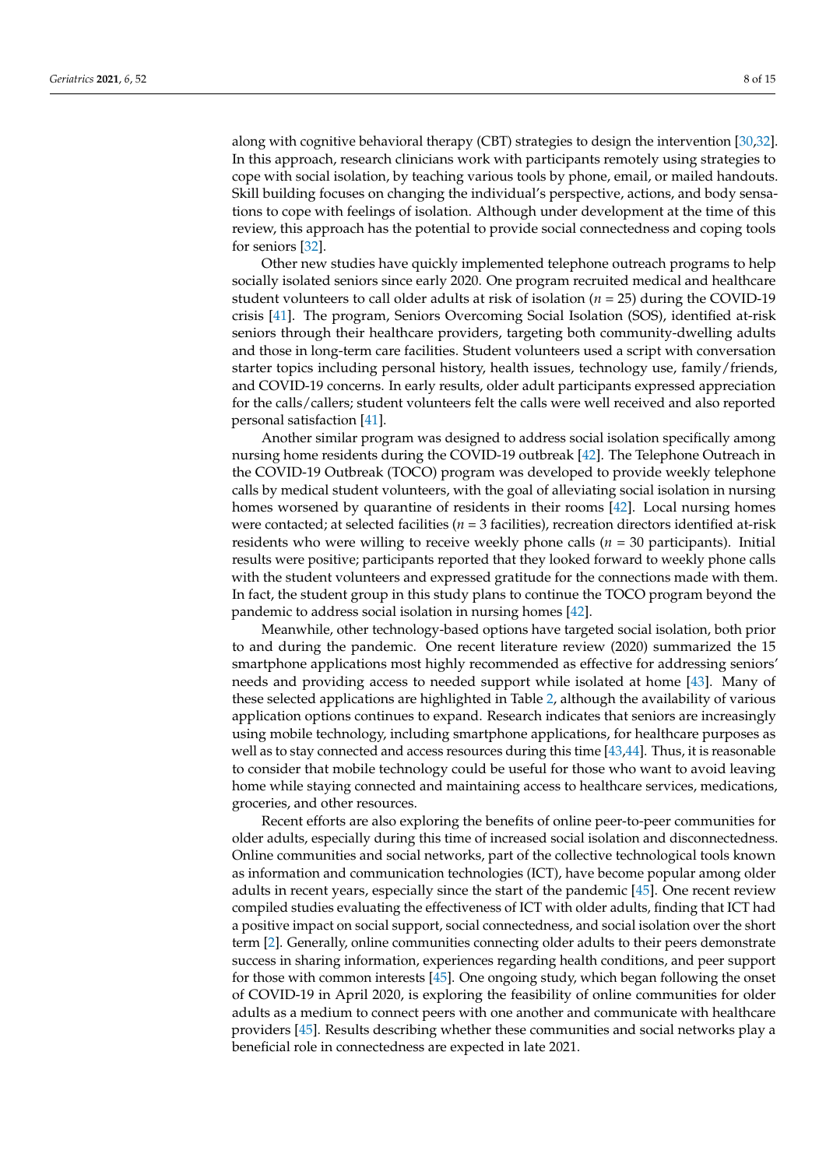along with cognitive behavioral therapy (CBT) strategies to design the intervention [\[30](#page-13-17)[,32\]](#page-13-18). In this approach, research clinicians work with participants remotely using strategies to cope with social isolation, by teaching various tools by phone, email, or mailed handouts. Skill building focuses on changing the individual's perspective, actions, and body sensations to cope with feelings of isolation. Although under development at the time of this review, this approach has the potential to provide social connectedness and coping tools for seniors [\[32\]](#page-13-18).

Other new studies have quickly implemented telephone outreach programs to help socially isolated seniors since early 2020. One program recruited medical and healthcare student volunteers to call older adults at risk of isolation (*n* = 25) during the COVID-19 crisis [\[41\]](#page-14-5). The program, Seniors Overcoming Social Isolation (SOS), identified at-risk seniors through their healthcare providers, targeting both community-dwelling adults and those in long-term care facilities. Student volunteers used a script with conversation starter topics including personal history, health issues, technology use, family/friends, and COVID-19 concerns. In early results, older adult participants expressed appreciation for the calls/callers; student volunteers felt the calls were well received and also reported personal satisfaction [\[41\]](#page-14-5).

Another similar program was designed to address social isolation specifically among nursing home residents during the COVID-19 outbreak [\[42\]](#page-14-6). The Telephone Outreach in the COVID-19 Outbreak (TOCO) program was developed to provide weekly telephone calls by medical student volunteers, with the goal of alleviating social isolation in nursing homes worsened by quarantine of residents in their rooms [\[42\]](#page-14-6). Local nursing homes were contacted; at selected facilities (*n* = 3 facilities), recreation directors identified at-risk residents who were willing to receive weekly phone calls ( $n = 30$  participants). Initial results were positive; participants reported that they looked forward to weekly phone calls with the student volunteers and expressed gratitude for the connections made with them. In fact, the student group in this study plans to continue the TOCO program beyond the pandemic to address social isolation in nursing homes [\[42\]](#page-14-6).

Meanwhile, other technology-based options have targeted social isolation, both prior to and during the pandemic. One recent literature review (2020) summarized the 15 smartphone applications most highly recommended as effective for addressing seniors' needs and providing access to needed support while isolated at home [\[43\]](#page-14-7). Many of these selected applications are highlighted in Table [2,](#page-8-0) although the availability of various application options continues to expand. Research indicates that seniors are increasingly using mobile technology, including smartphone applications, for healthcare purposes as well as to stay connected and access resources during this time  $[43,44]$  $[43,44]$ . Thus, it is reasonable to consider that mobile technology could be useful for those who want to avoid leaving home while staying connected and maintaining access to healthcare services, medications, groceries, and other resources.

Recent efforts are also exploring the benefits of online peer-to-peer communities for older adults, especially during this time of increased social isolation and disconnectedness. Online communities and social networks, part of the collective technological tools known as information and communication technologies (ICT), have become popular among older adults in recent years, especially since the start of the pandemic [\[45\]](#page-14-9). One recent review compiled studies evaluating the effectiveness of ICT with older adults, finding that ICT had a positive impact on social support, social connectedness, and social isolation over the short term [\[2\]](#page-12-2). Generally, online communities connecting older adults to their peers demonstrate success in sharing information, experiences regarding health conditions, and peer support for those with common interests [\[45\]](#page-14-9). One ongoing study, which began following the onset of COVID-19 in April 2020, is exploring the feasibility of online communities for older adults as a medium to connect peers with one another and communicate with healthcare providers [\[45\]](#page-14-9). Results describing whether these communities and social networks play a beneficial role in connectedness are expected in late 2021.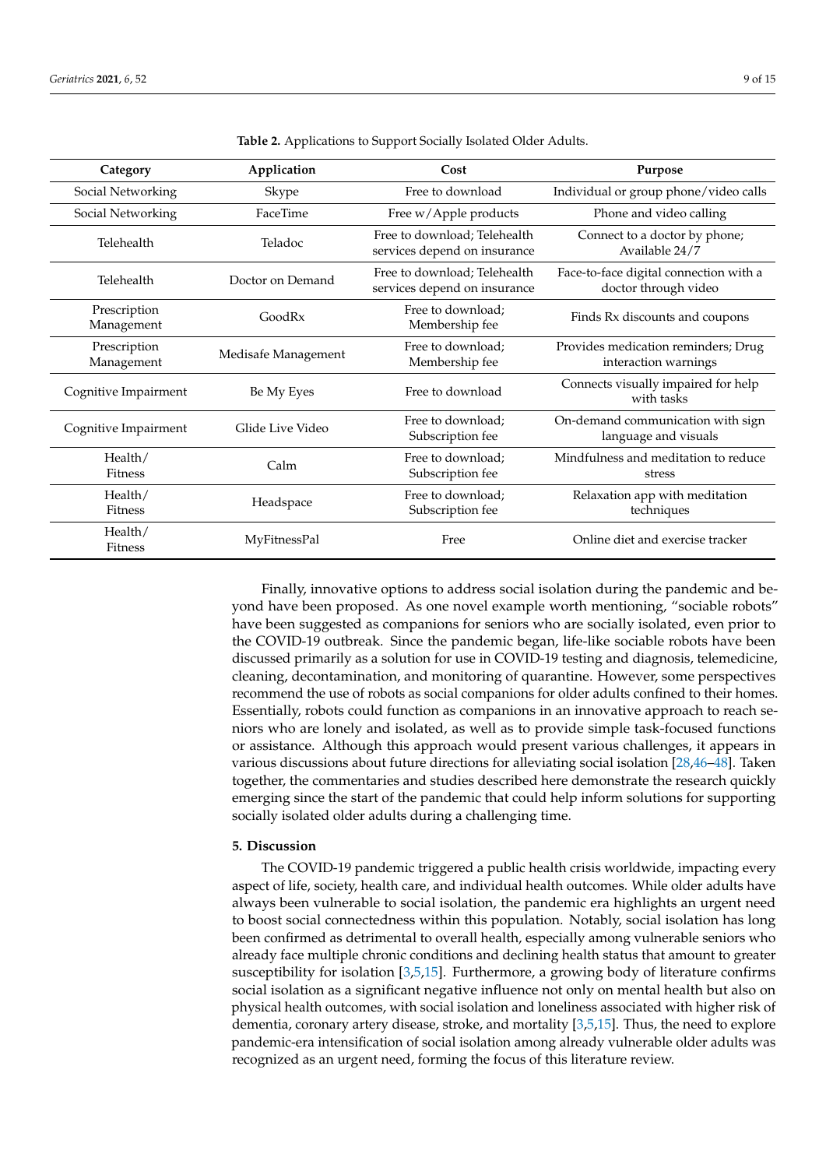<span id="page-8-0"></span>

| Category                   | Application         | Cost                                                         | Purpose                                                        |
|----------------------------|---------------------|--------------------------------------------------------------|----------------------------------------------------------------|
| Social Networking          | Skype               | Free to download                                             | Individual or group phone/video calls                          |
| Social Networking          | FaceTime            | Free w/Apple products                                        | Phone and video calling                                        |
| Telehealth                 | Teladoc             | Free to download; Telehealth<br>services depend on insurance | Connect to a doctor by phone;<br>Available 24/7                |
| Telehealth                 | Doctor on Demand    | Free to download; Telehealth<br>services depend on insurance | Face-to-face digital connection with a<br>doctor through video |
| Prescription<br>Management | GoodRx              | Free to download;<br>Membership fee                          | Finds Rx discounts and coupons                                 |
| Prescription<br>Management | Medisafe Management | Free to download;<br>Membership fee                          | Provides medication reminders; Drug<br>interaction warnings    |
| Cognitive Impairment       | Be My Eyes          | Free to download                                             | Connects visually impaired for help<br>with tasks              |
| Cognitive Impairment       | Glide Live Video    | Free to download;<br>Subscription fee                        | On-demand communication with sign<br>language and visuals      |
| Health/<br><b>Fitness</b>  | Calm                | Free to download;<br>Subscription fee                        | Mindfulness and meditation to reduce<br>stress                 |
| Health/<br><b>Fitness</b>  | Headspace           | Free to download;<br>Subscription fee                        | Relaxation app with meditation<br>techniques                   |
| Health/<br><b>Fitness</b>  | MyFitnessPal        | Free                                                         | Online diet and exercise tracker                               |

**Table 2.** Applications to Support Socially Isolated Older Adults.

Finally, innovative options to address social isolation during the pandemic and beyond have been proposed. As one novel example worth mentioning, "sociable robots" have been suggested as companions for seniors who are socially isolated, even prior to the COVID-19 outbreak. Since the pandemic began, life-like sociable robots have been discussed primarily as a solution for use in COVID-19 testing and diagnosis, telemedicine, cleaning, decontamination, and monitoring of quarantine. However, some perspectives recommend the use of robots as social companions for older adults confined to their homes. Essentially, robots could function as companions in an innovative approach to reach seniors who are lonely and isolated, as well as to provide simple task-focused functions or assistance. Although this approach would present various challenges, it appears in various discussions about future directions for alleviating social isolation [\[28,](#page-13-15)[46–](#page-14-10)[48\]](#page-14-11). Taken together, the commentaries and studies described here demonstrate the research quickly emerging since the start of the pandemic that could help inform solutions for supporting socially isolated older adults during a challenging time.

# **5. Discussion**

The COVID-19 pandemic triggered a public health crisis worldwide, impacting every aspect of life, society, health care, and individual health outcomes. While older adults have always been vulnerable to social isolation, the pandemic era highlights an urgent need to boost social connectedness within this population. Notably, social isolation has long been confirmed as detrimental to overall health, especially among vulnerable seniors who already face multiple chronic conditions and declining health status that amount to greater susceptibility for isolation [\[3](#page-12-1)[,5](#page-12-8)[,15\]](#page-13-3). Furthermore, a growing body of literature confirms social isolation as a significant negative influence not only on mental health but also on physical health outcomes, with social isolation and loneliness associated with higher risk of dementia, coronary artery disease, stroke, and mortality [\[3](#page-12-1)[,5,](#page-12-8)[15\]](#page-13-3). Thus, the need to explore pandemic-era intensification of social isolation among already vulnerable older adults was recognized as an urgent need, forming the focus of this literature review.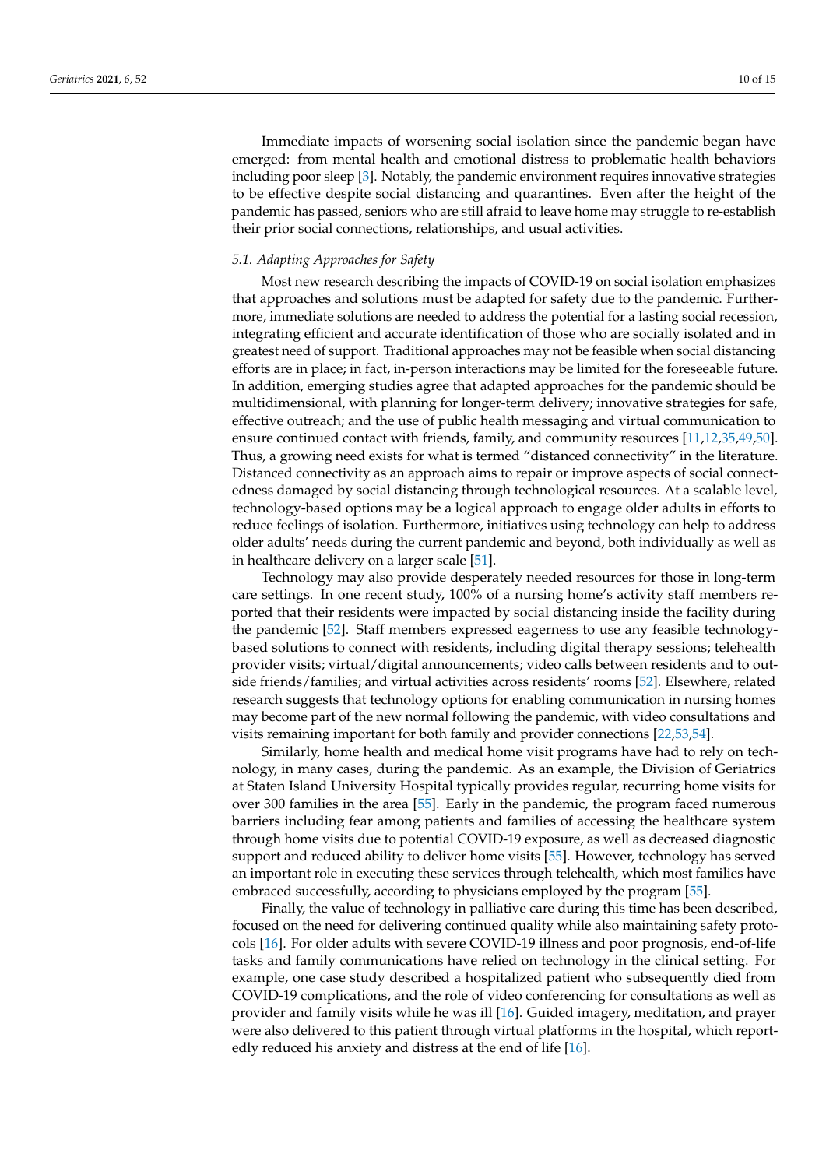Immediate impacts of worsening social isolation since the pandemic began have emerged: from mental health and emotional distress to problematic health behaviors including poor sleep [\[3\]](#page-12-1). Notably, the pandemic environment requires innovative strategies to be effective despite social distancing and quarantines. Even after the height of the pandemic has passed, seniors who are still afraid to leave home may struggle to re-establish their prior social connections, relationships, and usual activities.

## *5.1. Adapting Approaches for Safety*

Most new research describing the impacts of COVID-19 on social isolation emphasizes that approaches and solutions must be adapted for safety due to the pandemic. Furthermore, immediate solutions are needed to address the potential for a lasting social recession, integrating efficient and accurate identification of those who are socially isolated and in greatest need of support. Traditional approaches may not be feasible when social distancing efforts are in place; in fact, in-person interactions may be limited for the foreseeable future. In addition, emerging studies agree that adapted approaches for the pandemic should be multidimensional, with planning for longer-term delivery; innovative strategies for safe, effective outreach; and the use of public health messaging and virtual communication to ensure continued contact with friends, family, and community resources [\[11,](#page-12-7)[12,](#page-13-0)[35,](#page-13-21)[49,](#page-14-12)[50\]](#page-14-13). Thus, a growing need exists for what is termed "distanced connectivity" in the literature. Distanced connectivity as an approach aims to repair or improve aspects of social connectedness damaged by social distancing through technological resources. At a scalable level, technology-based options may be a logical approach to engage older adults in efforts to reduce feelings of isolation. Furthermore, initiatives using technology can help to address older adults' needs during the current pandemic and beyond, both individually as well as in healthcare delivery on a larger scale [\[51\]](#page-14-14).

Technology may also provide desperately needed resources for those in long-term care settings. In one recent study, 100% of a nursing home's activity staff members reported that their residents were impacted by social distancing inside the facility during the pandemic [\[52\]](#page-14-15). Staff members expressed eagerness to use any feasible technologybased solutions to connect with residents, including digital therapy sessions; telehealth provider visits; virtual/digital announcements; video calls between residents and to outside friends/families; and virtual activities across residents' rooms [\[52\]](#page-14-15). Elsewhere, related research suggests that technology options for enabling communication in nursing homes may become part of the new normal following the pandemic, with video consultations and visits remaining important for both family and provider connections [\[22,](#page-13-10)[53,](#page-14-16)[54\]](#page-14-17).

Similarly, home health and medical home visit programs have had to rely on technology, in many cases, during the pandemic. As an example, the Division of Geriatrics at Staten Island University Hospital typically provides regular, recurring home visits for over 300 families in the area [\[55\]](#page-14-18). Early in the pandemic, the program faced numerous barriers including fear among patients and families of accessing the healthcare system through home visits due to potential COVID-19 exposure, as well as decreased diagnostic support and reduced ability to deliver home visits [\[55\]](#page-14-18). However, technology has served an important role in executing these services through telehealth, which most families have embraced successfully, according to physicians employed by the program [\[55\]](#page-14-18).

Finally, the value of technology in palliative care during this time has been described, focused on the need for delivering continued quality while also maintaining safety protocols [\[16\]](#page-13-4). For older adults with severe COVID-19 illness and poor prognosis, end-of-life tasks and family communications have relied on technology in the clinical setting. For example, one case study described a hospitalized patient who subsequently died from COVID-19 complications, and the role of video conferencing for consultations as well as provider and family visits while he was ill [\[16\]](#page-13-4). Guided imagery, meditation, and prayer were also delivered to this patient through virtual platforms in the hospital, which reportedly reduced his anxiety and distress at the end of life [\[16\]](#page-13-4).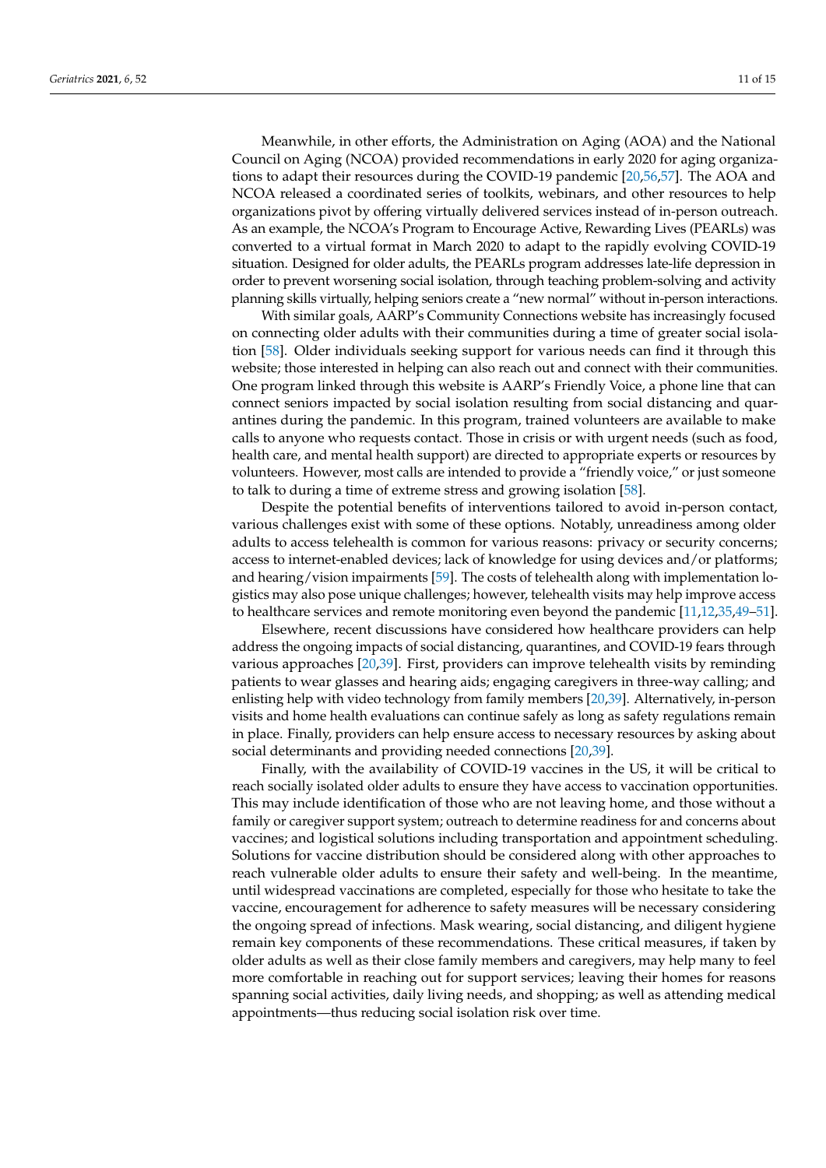Meanwhile, in other efforts, the Administration on Aging (AOA) and the National Council on Aging (NCOA) provided recommendations in early 2020 for aging organizations to adapt their resources during the COVID-19 pandemic [\[20](#page-13-8)[,56](#page-14-19)[,57\]](#page-14-20). The AOA and NCOA released a coordinated series of toolkits, webinars, and other resources to help organizations pivot by offering virtually delivered services instead of in-person outreach. As an example, the NCOA's Program to Encourage Active, Rewarding Lives (PEARLs) was converted to a virtual format in March 2020 to adapt to the rapidly evolving COVID-19 situation. Designed for older adults, the PEARLs program addresses late-life depression in order to prevent worsening social isolation, through teaching problem-solving and activity planning skills virtually, helping seniors create a "new normal" without in-person interactions.

With similar goals, AARP's Community Connections website has increasingly focused on connecting older adults with their communities during a time of greater social isolation [\[58\]](#page-14-21). Older individuals seeking support for various needs can find it through this website; those interested in helping can also reach out and connect with their communities. One program linked through this website is AARP's Friendly Voice, a phone line that can connect seniors impacted by social isolation resulting from social distancing and quarantines during the pandemic. In this program, trained volunteers are available to make calls to anyone who requests contact. Those in crisis or with urgent needs (such as food, health care, and mental health support) are directed to appropriate experts or resources by volunteers. However, most calls are intended to provide a "friendly voice," or just someone to talk to during a time of extreme stress and growing isolation [\[58\]](#page-14-21).

Despite the potential benefits of interventions tailored to avoid in-person contact, various challenges exist with some of these options. Notably, unreadiness among older adults to access telehealth is common for various reasons: privacy or security concerns; access to internet-enabled devices; lack of knowledge for using devices and/or platforms; and hearing/vision impairments [\[59\]](#page-14-22). The costs of telehealth along with implementation logistics may also pose unique challenges; however, telehealth visits may help improve access to healthcare services and remote monitoring even beyond the pandemic [\[11](#page-12-7)[,12](#page-13-0)[,35](#page-13-21)[,49](#page-14-12)[–51\]](#page-14-14).

Elsewhere, recent discussions have considered how healthcare providers can help address the ongoing impacts of social distancing, quarantines, and COVID-19 fears through various approaches [\[20,](#page-13-8)[39\]](#page-14-3). First, providers can improve telehealth visits by reminding patients to wear glasses and hearing aids; engaging caregivers in three-way calling; and enlisting help with video technology from family members [\[20](#page-13-8)[,39\]](#page-14-3). Alternatively, in-person visits and home health evaluations can continue safely as long as safety regulations remain in place. Finally, providers can help ensure access to necessary resources by asking about social determinants and providing needed connections [\[20](#page-13-8)[,39\]](#page-14-3).

Finally, with the availability of COVID-19 vaccines in the US, it will be critical to reach socially isolated older adults to ensure they have access to vaccination opportunities. This may include identification of those who are not leaving home, and those without a family or caregiver support system; outreach to determine readiness for and concerns about vaccines; and logistical solutions including transportation and appointment scheduling. Solutions for vaccine distribution should be considered along with other approaches to reach vulnerable older adults to ensure their safety and well-being. In the meantime, until widespread vaccinations are completed, especially for those who hesitate to take the vaccine, encouragement for adherence to safety measures will be necessary considering the ongoing spread of infections. Mask wearing, social distancing, and diligent hygiene remain key components of these recommendations. These critical measures, if taken by older adults as well as their close family members and caregivers, may help many to feel more comfortable in reaching out for support services; leaving their homes for reasons spanning social activities, daily living needs, and shopping; as well as attending medical appointments—thus reducing social isolation risk over time.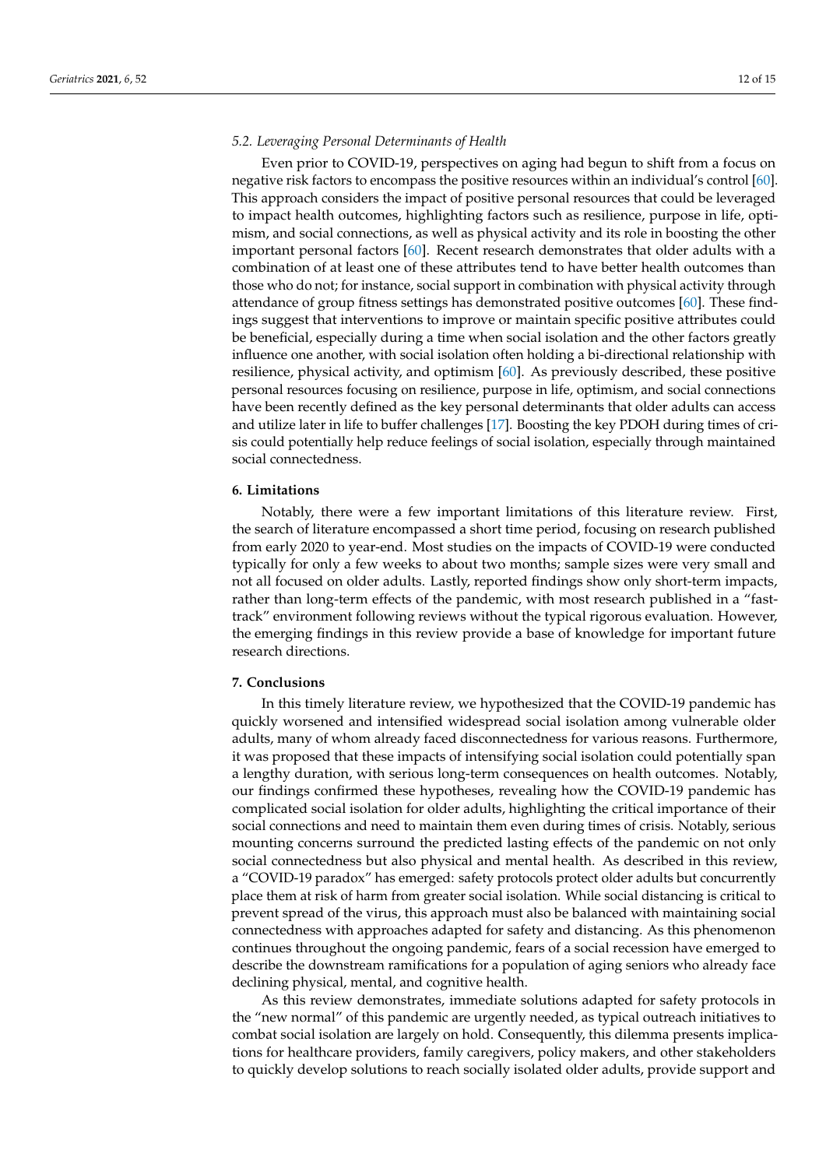#### *5.2. Leveraging Personal Determinants of Health*

Even prior to COVID-19, perspectives on aging had begun to shift from a focus on negative risk factors to encompass the positive resources within an individual's control [\[60\]](#page-14-23). This approach considers the impact of positive personal resources that could be leveraged to impact health outcomes, highlighting factors such as resilience, purpose in life, optimism, and social connections, as well as physical activity and its role in boosting the other important personal factors [\[60\]](#page-14-23). Recent research demonstrates that older adults with a combination of at least one of these attributes tend to have better health outcomes than those who do not; for instance, social support in combination with physical activity through attendance of group fitness settings has demonstrated positive outcomes [\[60\]](#page-14-23). These findings suggest that interventions to improve or maintain specific positive attributes could be beneficial, especially during a time when social isolation and the other factors greatly influence one another, with social isolation often holding a bi-directional relationship with resilience, physical activity, and optimism [\[60\]](#page-14-23). As previously described, these positive personal resources focusing on resilience, purpose in life, optimism, and social connections have been recently defined as the key personal determinants that older adults can access and utilize later in life to buffer challenges [\[17\]](#page-13-5). Boosting the key PDOH during times of crisis could potentially help reduce feelings of social isolation, especially through maintained social connectedness.

## **6. Limitations**

Notably, there were a few important limitations of this literature review. First, the search of literature encompassed a short time period, focusing on research published from early 2020 to year-end. Most studies on the impacts of COVID-19 were conducted typically for only a few weeks to about two months; sample sizes were very small and not all focused on older adults. Lastly, reported findings show only short-term impacts, rather than long-term effects of the pandemic, with most research published in a "fasttrack" environment following reviews without the typical rigorous evaluation. However, the emerging findings in this review provide a base of knowledge for important future research directions.

# **7. Conclusions**

In this timely literature review, we hypothesized that the COVID-19 pandemic has quickly worsened and intensified widespread social isolation among vulnerable older adults, many of whom already faced disconnectedness for various reasons. Furthermore, it was proposed that these impacts of intensifying social isolation could potentially span a lengthy duration, with serious long-term consequences on health outcomes. Notably, our findings confirmed these hypotheses, revealing how the COVID-19 pandemic has complicated social isolation for older adults, highlighting the critical importance of their social connections and need to maintain them even during times of crisis. Notably, serious mounting concerns surround the predicted lasting effects of the pandemic on not only social connectedness but also physical and mental health. As described in this review, a "COVID-19 paradox" has emerged: safety protocols protect older adults but concurrently place them at risk of harm from greater social isolation. While social distancing is critical to prevent spread of the virus, this approach must also be balanced with maintaining social connectedness with approaches adapted for safety and distancing. As this phenomenon continues throughout the ongoing pandemic, fears of a social recession have emerged to describe the downstream ramifications for a population of aging seniors who already face declining physical, mental, and cognitive health.

As this review demonstrates, immediate solutions adapted for safety protocols in the "new normal" of this pandemic are urgently needed, as typical outreach initiatives to combat social isolation are largely on hold. Consequently, this dilemma presents implications for healthcare providers, family caregivers, policy makers, and other stakeholders to quickly develop solutions to reach socially isolated older adults, provide support and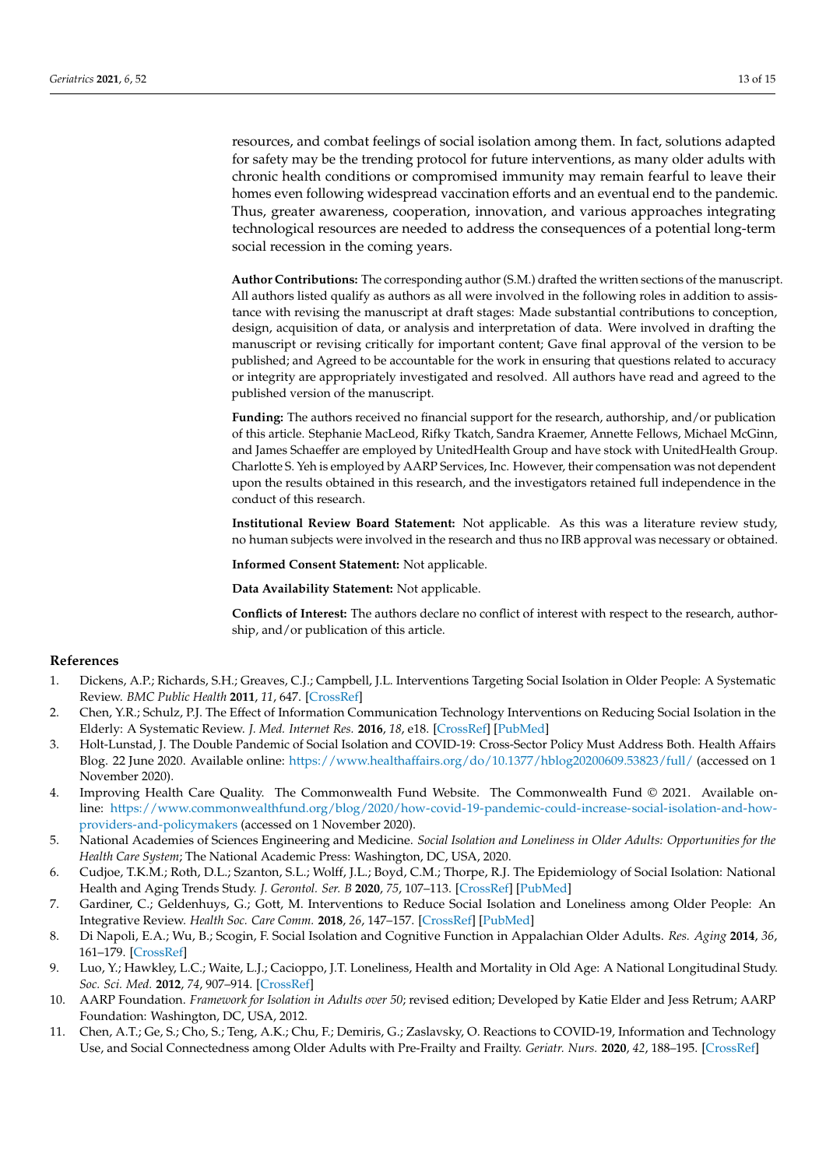resources, and combat feelings of social isolation among them. In fact, solutions adapted for safety may be the trending protocol for future interventions, as many older adults with chronic health conditions or compromised immunity may remain fearful to leave their homes even following widespread vaccination efforts and an eventual end to the pandemic. Thus, greater awareness, cooperation, innovation, and various approaches integrating technological resources are needed to address the consequences of a potential long-term social recession in the coming years.

**Author Contributions:** The corresponding author (S.M.) drafted the written sections of the manuscript. All authors listed qualify as authors as all were involved in the following roles in addition to assistance with revising the manuscript at draft stages: Made substantial contributions to conception, design, acquisition of data, or analysis and interpretation of data. Were involved in drafting the manuscript or revising critically for important content; Gave final approval of the version to be published; and Agreed to be accountable for the work in ensuring that questions related to accuracy or integrity are appropriately investigated and resolved. All authors have read and agreed to the published version of the manuscript.

**Funding:** The authors received no financial support for the research, authorship, and/or publication of this article. Stephanie MacLeod, Rifky Tkatch, Sandra Kraemer, Annette Fellows, Michael McGinn, and James Schaeffer are employed by UnitedHealth Group and have stock with UnitedHealth Group. Charlotte S. Yeh is employed by AARP Services, Inc. However, their compensation was not dependent upon the results obtained in this research, and the investigators retained full independence in the conduct of this research.

**Institutional Review Board Statement:** Not applicable. As this was a literature review study, no human subjects were involved in the research and thus no IRB approval was necessary or obtained.

**Informed Consent Statement:** Not applicable.

**Data Availability Statement:** Not applicable.

**Conflicts of Interest:** The authors declare no conflict of interest with respect to the research, authorship, and/or publication of this article.

#### **References**

- <span id="page-12-0"></span>1. Dickens, A.P.; Richards, S.H.; Greaves, C.J.; Campbell, J.L. Interventions Targeting Social Isolation in Older People: A Systematic Review. *BMC Public Health* **2011**, *11*, 647. [\[CrossRef\]](http://doi.org/10.1186/1471-2458-11-647)
- <span id="page-12-2"></span>2. Chen, Y.R.; Schulz, P.J. The Effect of Information Communication Technology Interventions on Reducing Social Isolation in the Elderly: A Systematic Review. *J. Med. Internet Res.* **2016**, *18*, e18. [\[CrossRef\]](http://doi.org/10.2196/jmir.4596) [\[PubMed\]](http://www.ncbi.nlm.nih.gov/pubmed/26822073)
- <span id="page-12-1"></span>3. Holt-Lunstad, J. The Double Pandemic of Social Isolation and COVID-19: Cross-Sector Policy Must Address Both. Health Affairs Blog. 22 June 2020. Available online: <https://www.healthaffairs.org/do/10.1377/hblog20200609.53823/full/> (accessed on 1 November 2020).
- <span id="page-12-3"></span>4. Improving Health Care Quality. The Commonwealth Fund Website. The Commonwealth Fund © 2021. Available online: [https://www.commonwealthfund.org/blog/2020/how-covid-19-pandemic-could-increase-social-isolation-and-how](https://www.commonwealthfund.org/blog/2020/how-covid-19-pandemic-could-increase-social-isolation-and-how-providers-and-policymakers)[providers-and-policymakers](https://www.commonwealthfund.org/blog/2020/how-covid-19-pandemic-could-increase-social-isolation-and-how-providers-and-policymakers) (accessed on 1 November 2020).
- <span id="page-12-8"></span>5. National Academies of Sciences Engineering and Medicine. *Social Isolation and Loneliness in Older Adults: Opportunities for the Health Care System*; The National Academic Press: Washington, DC, USA, 2020.
- <span id="page-12-4"></span>6. Cudjoe, T.K.M.; Roth, D.L.; Szanton, S.L.; Wolff, J.L.; Boyd, C.M.; Thorpe, R.J. The Epidemiology of Social Isolation: National Health and Aging Trends Study. *J. Gerontol. Ser. B* **2020**, *75*, 107–113. [\[CrossRef\]](http://doi.org/10.1093/geronb/gby037) [\[PubMed\]](http://www.ncbi.nlm.nih.gov/pubmed/29590462)
- <span id="page-12-5"></span>7. Gardiner, C.; Geldenhuys, G.; Gott, M. Interventions to Reduce Social Isolation and Loneliness among Older People: An Integrative Review. *Health Soc. Care Comm.* **2018**, *26*, 147–157. [\[CrossRef\]](http://doi.org/10.1111/hsc.12367) [\[PubMed\]](http://www.ncbi.nlm.nih.gov/pubmed/27413007)
- 8. Di Napoli, E.A.; Wu, B.; Scogin, F. Social Isolation and Cognitive Function in Appalachian Older Adults. *Res. Aging* **2014**, *36*, 161–179. [\[CrossRef\]](http://doi.org/10.1177/0164027512470704)
- 9. Luo, Y.; Hawkley, L.C.; Waite, L.J.; Cacioppo, J.T. Loneliness, Health and Mortality in Old Age: A National Longitudinal Study. *Soc. Sci. Med.* **2012**, *74*, 907–914. [\[CrossRef\]](http://doi.org/10.1016/j.socscimed.2011.11.028)
- <span id="page-12-6"></span>10. AARP Foundation. *Framework for Isolation in Adults over 50*; revised edition; Developed by Katie Elder and Jess Retrum; AARP Foundation: Washington, DC, USA, 2012.
- <span id="page-12-7"></span>11. Chen, A.T.; Ge, S.; Cho, S.; Teng, A.K.; Chu, F.; Demiris, G.; Zaslavsky, O. Reactions to COVID-19, Information and Technology Use, and Social Connectedness among Older Adults with Pre-Frailty and Frailty. *Geriatr. Nurs.* **2020**, *42*, 188–195. [\[CrossRef\]](http://doi.org/10.1016/j.gerinurse.2020.08.001)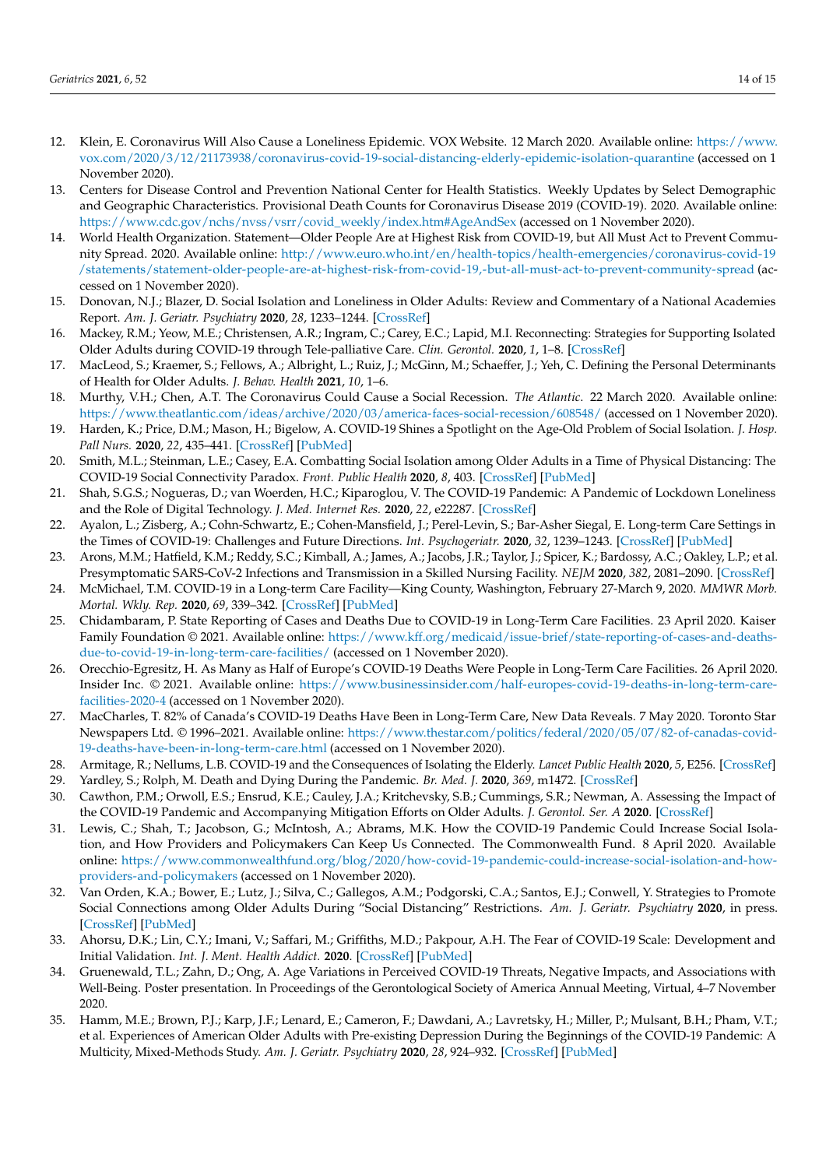- <span id="page-13-0"></span>12. Klein, E. Coronavirus Will Also Cause a Loneliness Epidemic. VOX Website. 12 March 2020. Available online: [https://www.](https://www.vox.com/2020/3/12/21173938/coronavirus-covid-19-social-distancing-elderly-epidemic-isolation-quarantine) [vox.com/2020/3/12/21173938/coronavirus-covid-19-social-distancing-elderly-epidemic-isolation-quarantine](https://www.vox.com/2020/3/12/21173938/coronavirus-covid-19-social-distancing-elderly-epidemic-isolation-quarantine) (accessed on 1 November 2020).
- <span id="page-13-1"></span>13. Centers for Disease Control and Prevention National Center for Health Statistics. Weekly Updates by Select Demographic and Geographic Characteristics. Provisional Death Counts for Coronavirus Disease 2019 (COVID-19). 2020. Available online: [https://www.cdc.gov/nchs/nvss/vsrr/covid\\_weekly/index.htm#AgeAndSex](https://www.cdc.gov/nchs/nvss/vsrr/covid_weekly/index.htm#AgeAndSex) (accessed on 1 November 2020).
- <span id="page-13-2"></span>14. World Health Organization. Statement—Older People Are at Highest Risk from COVID-19, but All Must Act to Prevent Community Spread. 2020. Available online: [http://www.euro.who.int/en/health-topics/health-emergencies/coronavirus-covid-19](http://www.euro.who.int/en/health-topics/health-emergencies/coronavirus-covid-19/statements/statement-older-people-are-at-highest-risk-from-covid-19,-but-all-must-act-to-prevent-community-spread) [/statements/statement-older-people-are-at-highest-risk-from-covid-19,-but-all-must-act-to-prevent-community-spread](http://www.euro.who.int/en/health-topics/health-emergencies/coronavirus-covid-19/statements/statement-older-people-are-at-highest-risk-from-covid-19,-but-all-must-act-to-prevent-community-spread) (accessed on 1 November 2020).
- <span id="page-13-3"></span>15. Donovan, N.J.; Blazer, D. Social Isolation and Loneliness in Older Adults: Review and Commentary of a National Academies Report. *Am. J. Geriatr. Psychiatry* **2020**, *28*, 1233–1244. [\[CrossRef\]](http://doi.org/10.1016/j.jagp.2020.08.005)
- <span id="page-13-4"></span>16. Mackey, R.M.; Yeow, M.E.; Christensen, A.R.; Ingram, C.; Carey, E.C.; Lapid, M.I. Reconnecting: Strategies for Supporting Isolated Older Adults during COVID-19 through Tele-palliative Care. *Clin. Gerontol.* **2020**, *1*, 1–8. [\[CrossRef\]](http://doi.org/10.1080/07317115.2020.1830905)
- <span id="page-13-5"></span>17. MacLeod, S.; Kraemer, S.; Fellows, A.; Albright, L.; Ruiz, J.; McGinn, M.; Schaeffer, J.; Yeh, C. Defining the Personal Determinants of Health for Older Adults. *J. Behav. Health* **2021**, *10*, 1–6.
- <span id="page-13-6"></span>18. Murthy, V.H.; Chen, A.T. The Coronavirus Could Cause a Social Recession. *The Atlantic*. 22 March 2020. Available online: <https://www.theatlantic.com/ideas/archive/2020/03/america-faces-social-recession/608548/> (accessed on 1 November 2020).
- <span id="page-13-7"></span>19. Harden, K.; Price, D.M.; Mason, H.; Bigelow, A. COVID-19 Shines a Spotlight on the Age-Old Problem of Social Isolation. *J. Hosp. Pall Nurs.* **2020**, *22*, 435–441. [\[CrossRef\]](http://doi.org/10.1097/NJH.0000000000000693) [\[PubMed\]](http://www.ncbi.nlm.nih.gov/pubmed/32925489)
- <span id="page-13-8"></span>20. Smith, M.L.; Steinman, L.E.; Casey, E.A. Combatting Social Isolation among Older Adults in a Time of Physical Distancing: The COVID-19 Social Connectivity Paradox. *Front. Public Health* **2020**, *8*, 403. [\[CrossRef\]](http://doi.org/10.3389/fpubh.2020.00403) [\[PubMed\]](http://www.ncbi.nlm.nih.gov/pubmed/32850605)
- <span id="page-13-9"></span>21. Shah, S.G.S.; Nogueras, D.; van Woerden, H.C.; Kiparoglou, V. The COVID-19 Pandemic: A Pandemic of Lockdown Loneliness and the Role of Digital Technology. *J. Med. Internet Res.* **2020**, *22*, e22287. [\[CrossRef\]](http://doi.org/10.2196/22287)
- <span id="page-13-10"></span>22. Ayalon, L.; Zisberg, A.; Cohn-Schwartz, E.; Cohen-Mansfield, J.; Perel-Levin, S.; Bar-Asher Siegal, E. Long-term Care Settings in the Times of COVID-19: Challenges and Future Directions. *Int. Psychogeriatr.* **2020**, *32*, 1239–1243. [\[CrossRef\]](http://doi.org/10.1017/S1041610220001416) [\[PubMed\]](http://www.ncbi.nlm.nih.gov/pubmed/32609082)
- 23. Arons, M.M.; Hatfield, K.M.; Reddy, S.C.; Kimball, A.; James, A.; Jacobs, J.R.; Taylor, J.; Spicer, K.; Bardossy, A.C.; Oakley, L.P.; et al. Presymptomatic SARS-CoV-2 Infections and Transmission in a Skilled Nursing Facility. *NEJM* **2020**, *382*, 2081–2090. [\[CrossRef\]](http://doi.org/10.1056/NEJMoa2008457)
- <span id="page-13-11"></span>24. McMichael, T.M. COVID-19 in a Long-term Care Facility—King County, Washington, February 27-March 9, 2020. *MMWR Morb. Mortal. Wkly. Rep.* **2020**, *69*, 339–342. [\[CrossRef\]](http://doi.org/10.15585/mmwr.mm6912e1) [\[PubMed\]](http://www.ncbi.nlm.nih.gov/pubmed/32214083)
- <span id="page-13-12"></span>25. Chidambaram, P. State Reporting of Cases and Deaths Due to COVID-19 in Long-Term Care Facilities. 23 April 2020. Kaiser Family Foundation © 2021. Available online: [https://www.kff.org/medicaid/issue-brief/state-reporting-of-cases-and-deaths](https://www.kff.org/medicaid/issue-brief/state-reporting-of-cases-and-deaths-due-to-covid-19-in-long-term-care-facilities/)[due-to-covid-19-in-long-term-care-facilities/](https://www.kff.org/medicaid/issue-brief/state-reporting-of-cases-and-deaths-due-to-covid-19-in-long-term-care-facilities/) (accessed on 1 November 2020).
- <span id="page-13-13"></span>26. Orecchio-Egresitz, H. As Many as Half of Europe's COVID-19 Deaths Were People in Long-Term Care Facilities. 26 April 2020. Insider Inc. © 2021. Available online: [https://www.businessinsider.com/half-europes-covid-19-deaths-in-long-term-care](https://www.businessinsider.com/half-europes-covid-19-deaths-in-long-term-care-facilities-2020-4)[facilities-2020-4](https://www.businessinsider.com/half-europes-covid-19-deaths-in-long-term-care-facilities-2020-4) (accessed on 1 November 2020).
- <span id="page-13-14"></span>27. MacCharles, T. 82% of Canada's COVID-19 Deaths Have Been in Long-Term Care, New Data Reveals. 7 May 2020. Toronto Star Newspapers Ltd. © 1996–2021. Available online: [https://www.thestar.com/politics/federal/2020/05/07/82-of-canadas-covid-](https://www.thestar.com/politics/federal/2020/05/07/82-of-canadas-covid-19-deaths-have-been-in-long-term-care.html)[19-deaths-have-been-in-long-term-care.html](https://www.thestar.com/politics/federal/2020/05/07/82-of-canadas-covid-19-deaths-have-been-in-long-term-care.html) (accessed on 1 November 2020).
- <span id="page-13-15"></span>28. Armitage, R.; Nellums, L.B. COVID-19 and the Consequences of Isolating the Elderly. *Lancet Public Health* **2020**, *5*, E256. [\[CrossRef\]](http://doi.org/10.1016/S2468-2667(20)30061-X)
- <span id="page-13-16"></span>29. Yardley, S.; Rolph, M. Death and Dying During the Pandemic. *Br. Med. J.* **2020**, *369*, m1472. [\[CrossRef\]](http://doi.org/10.1136/bmj.m1472)
- <span id="page-13-17"></span>30. Cawthon, P.M.; Orwoll, E.S.; Ensrud, K.E.; Cauley, J.A.; Kritchevsky, S.B.; Cummings, S.R.; Newman, A. Assessing the Impact of the COVID-19 Pandemic and Accompanying Mitigation Efforts on Older Adults. *J. Gerontol. Ser. A* **2020**. [\[CrossRef\]](http://doi.org/10.1093/gerona/glaa099)
- 31. Lewis, C.; Shah, T.; Jacobson, G.; McIntosh, A.; Abrams, M.K. How the COVID-19 Pandemic Could Increase Social Isolation, and How Providers and Policymakers Can Keep Us Connected. The Commonwealth Fund. 8 April 2020. Available online: [https://www.commonwealthfund.org/blog/2020/how-covid-19-pandemic-could-increase-social-isolation-and-how](https://www.commonwealthfund.org/blog/2020/how-covid-19-pandemic-could-increase-social-isolation-and-how-providers-and-policymakers)[providers-and-policymakers](https://www.commonwealthfund.org/blog/2020/how-covid-19-pandemic-could-increase-social-isolation-and-how-providers-and-policymakers) (accessed on 1 November 2020).
- <span id="page-13-18"></span>32. Van Orden, K.A.; Bower, E.; Lutz, J.; Silva, C.; Gallegos, A.M.; Podgorski, C.A.; Santos, E.J.; Conwell, Y. Strategies to Promote Social Connections among Older Adults During "Social Distancing" Restrictions. *Am. J. Geriatr. Psychiatry* **2020**, in press. [\[CrossRef\]](http://doi.org/10.1016/j.jagp.2020.05.004) [\[PubMed\]](http://www.ncbi.nlm.nih.gov/pubmed/32425473)
- <span id="page-13-19"></span>33. Ahorsu, D.K.; Lin, C.Y.; Imani, V.; Saffari, M.; Griffiths, M.D.; Pakpour, A.H. The Fear of COVID-19 Scale: Development and Initial Validation. *Int. J. Ment. Health Addict.* **2020**. [\[CrossRef\]](http://doi.org/10.1007/s11469-020-00270-8) [\[PubMed\]](http://www.ncbi.nlm.nih.gov/pubmed/32226353)
- <span id="page-13-20"></span>34. Gruenewald, T.L.; Zahn, D.; Ong, A. Age Variations in Perceived COVID-19 Threats, Negative Impacts, and Associations with Well-Being. Poster presentation. In Proceedings of the Gerontological Society of America Annual Meeting, Virtual, 4–7 November 2020.
- <span id="page-13-21"></span>35. Hamm, M.E.; Brown, P.J.; Karp, J.F.; Lenard, E.; Cameron, F.; Dawdani, A.; Lavretsky, H.; Miller, P.; Mulsant, B.H.; Pham, V.T.; et al. Experiences of American Older Adults with Pre-existing Depression During the Beginnings of the COVID-19 Pandemic: A Multicity, Mixed-Methods Study. *Am. J. Geriatr. Psychiatry* **2020**, *28*, 924–932. [\[CrossRef\]](http://doi.org/10.1016/j.jagp.2020.06.013) [\[PubMed\]](http://www.ncbi.nlm.nih.gov/pubmed/32682619)